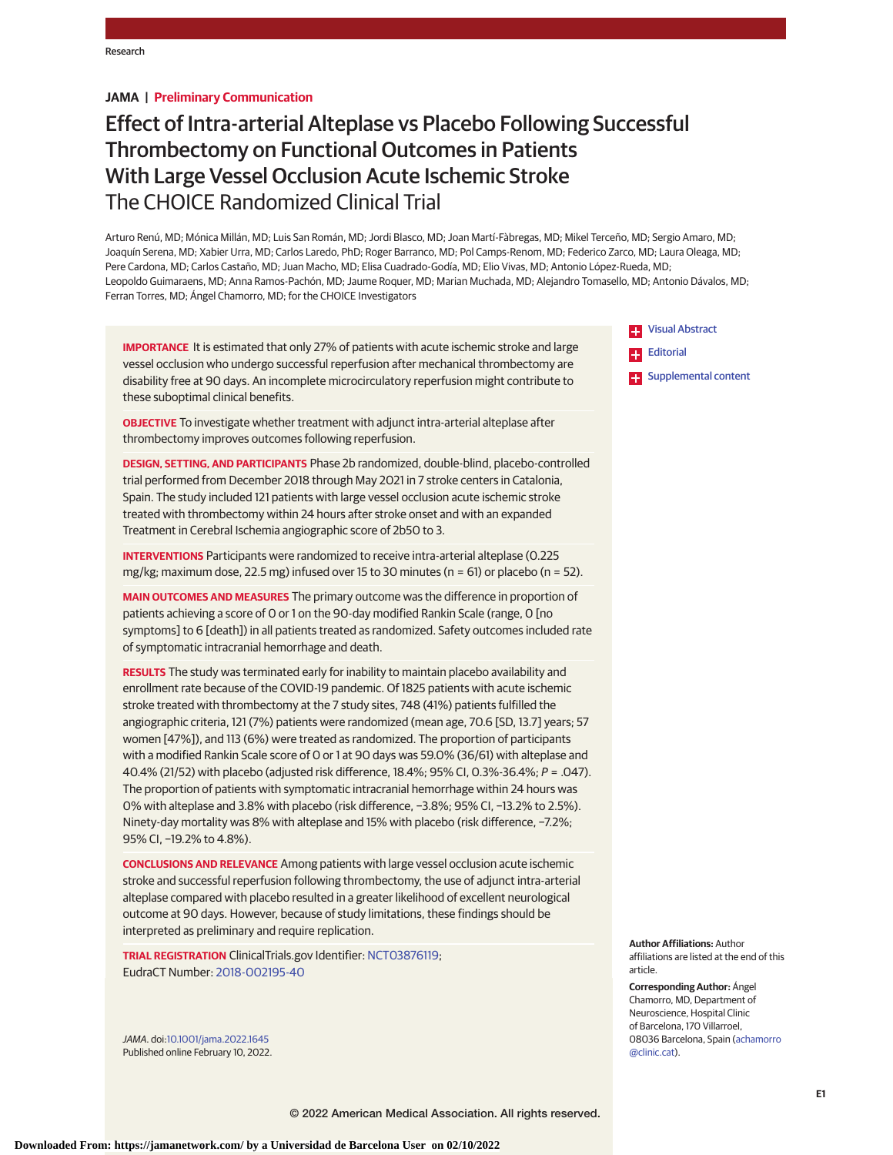# **JAMA | Preliminary Communication**

# Effect of Intra-arterial Alteplase vs Placebo Following Successful Thrombectomy on Functional Outcomes in Patients With Large Vessel Occlusion Acute Ischemic Stroke The CHOICE Randomized Clinical Trial

Arturo Renú, MD; Mónica Millán, MD; Luis San Román, MD; Jordi Blasco, MD; Joan Martí-Fàbregas, MD; Mikel Terceño, MD; Sergio Amaro, MD; Joaquín Serena, MD; Xabier Urra, MD; Carlos Laredo, PhD; Roger Barranco, MD; Pol Camps-Renom, MD; Federico Zarco, MD; Laura Oleaga, MD; Pere Cardona, MD; Carlos Castaño, MD; Juan Macho, MD; Elisa Cuadrado-Godía, MD; Elio Vivas, MD; Antonio López-Rueda, MD; Leopoldo Guimaraens, MD; Anna Ramos-Pachón, MD; Jaume Roquer, MD; Marian Muchada, MD; Alejandro Tomasello, MD; Antonio Dávalos, MD; Ferran Torres, MD; Ángel Chamorro, MD; for the CHOICE Investigators

**IMPORTANCE** It is estimated that only 27% of patients with acute ischemic stroke and large vessel occlusion who undergo successful reperfusion after mechanical thrombectomy are disability free at 90 days. An incomplete microcirculatory reperfusion might contribute to these suboptimal clinical benefits.

**OBJECTIVE** To investigate whether treatment with adjunct intra-arterial alteplase after thrombectomy improves outcomes following reperfusion.

**DESIGN, SETTING, AND PARTICIPANTS** Phase 2b randomized, double-blind, placebo-controlled trial performed from December 2018 through May 2021 in 7 stroke centers in Catalonia, Spain. The study included 121 patients with large vessel occlusion acute ischemic stroke treated with thrombectomy within 24 hours after stroke onset and with an expanded Treatment in Cerebral Ischemia angiographic score of 2b50 to 3.

**INTERVENTIONS** Participants were randomized to receive intra-arterial alteplase (0.225 mg/kg; maximum dose, 22.5 mg) infused over 15 to 30 minutes ( $n = 61$ ) or placebo ( $n = 52$ ).

**MAIN OUTCOMES AND MEASURES** The primary outcome was the difference in proportion of patients achieving a score of 0 or 1 on the 90-day modified Rankin Scale (range, 0 [no symptoms] to 6 [death]) in all patients treated as randomized. Safety outcomes included rate of symptomatic intracranial hemorrhage and death.

**RESULTS** The study was terminated early for inability to maintain placebo availability and enrollment rate because of the COVID-19 pandemic. Of 1825 patients with acute ischemic stroke treated with thrombectomy at the 7 study sites, 748 (41%) patients fulfilled the angiographic criteria, 121 (7%) patients were randomized (mean age, 70.6 [SD, 13.7] years; 57 women [47%]), and 113 (6%) were treated as randomized. The proportion of participants with a modified Rankin Scale score of 0 or 1 at 90 days was 59.0% (36/61) with alteplase and 40.4% (21/52) with placebo (adjusted risk difference, 18.4%; 95% CI, 0.3%-36.4%; P = .047). The proportion of patients with symptomatic intracranial hemorrhage within 24 hours was 0% with alteplase and 3.8% with placebo (risk difference, −3.8%; 95% CI, −13.2% to 2.5%). Ninety-day mortality was 8% with alteplase and 15% with placebo (risk difference, −7.2%; 95% CI, -19.2% to 4.8%).

**CONCLUSIONS AND RELEVANCE** Among patients with large vessel occlusion acute ischemic stroke and successful reperfusion following thrombectomy, the use of adjunct intra-arterial alteplase compared with placebo resulted in a greater likelihood of excellent neurological outcome at 90 days. However, because of study limitations, these findings should be interpreted as preliminary and require replication.

**TRIAL REGISTRATION** ClinicalTrials.gov Identifier: [NCT03876119;](https://clinicaltrials.gov/ct2/show/NCT03876119) EudraCT Number: [2018-002195-40](https://www.clinicaltrialsregister.eu/ctr-search/trial/2018-002195-40/ES)

JAMA. doi[:10.1001/jama.2022.1645](https://jamanetwork.com/journals/jama/fullarticle/10.1001/jama.2022.1645?utm_campaign=articlePDF%26utm_medium=articlePDFlink%26utm_source=articlePDF%26utm_content=jama.2022.1645) Published online February 10, 2022.



**[Supplemental content](https://jamanetwork.com/journals/jama/fullarticle/10.1001/jama.2022.1645?utm_campaign=articlePDF%26utm_medium=articlePDFlink%26utm_source=articlePDF%26utm_content=jama.2022.1645)** 

**Author Affiliations:** Author affiliations are listed at the end of this article.

**Corresponding Author:** Ángel Chamorro, MD, Department of Neuroscience, Hospital Clinic of Barcelona, 170 Villarroel, 08036 Barcelona, Spain [\(achamorro](mailto:achamorro@clinic.cat) [@clinic.cat\)](mailto:achamorro@clinic.cat).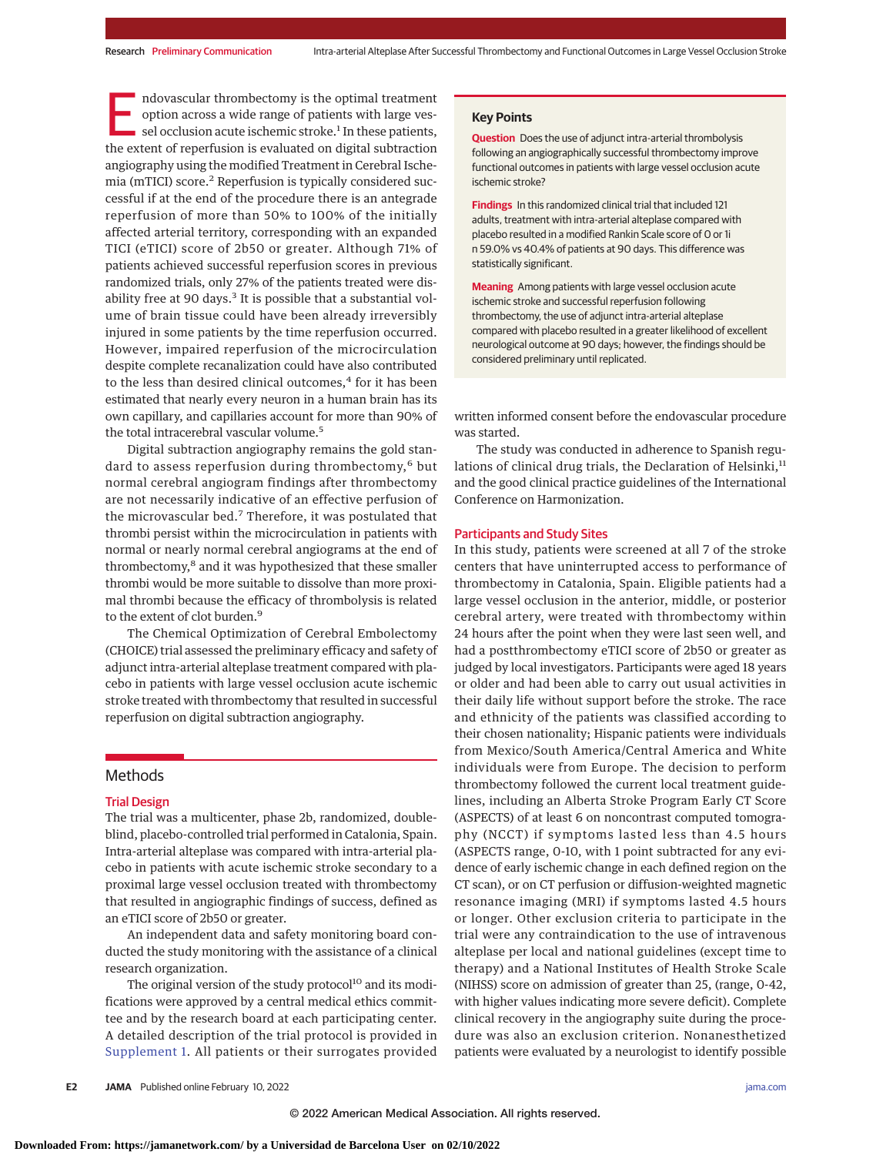ndovascular thrombectomy is the optimal treatment option across a wide range of patients with large vessel occlusion acute ischemic stroke.<sup>1</sup> In these patients, the extent of reperfusion is evaluated on digital subtraction angiography using the modified Treatment in Cerebral Ischemia (mTICI) score.<sup>2</sup> Reperfusion is typically considered successful if at the end of the procedure there is an antegrade reperfusion of more than 50% to 100% of the initially affected arterial territory, corresponding with an expanded TICI (eTICI) score of 2b50 or greater. Although 71% of patients achieved successful reperfusion scores in previous randomized trials, only 27% of the patients treated were disability free at 90 days. $3$  It is possible that a substantial volume of brain tissue could have been already irreversibly injured in some patients by the time reperfusion occurred. However, impaired reperfusion of the microcirculation despite complete recanalization could have also contributed to the less than desired clinical outcomes,<sup>4</sup> for it has been estimated that nearly every neuron in a human brain has its own capillary, and capillaries account for more than 90% of the total intracerebral vascular volume.<sup>5</sup>

Digital subtraction angiography remains the gold standard to assess reperfusion during thrombectomy,<sup>6</sup> but normal cerebral angiogram findings after thrombectomy are not necessarily indicative of an effective perfusion of the microvascular bed.<sup>7</sup> Therefore, it was postulated that thrombi persist within the microcirculation in patients with normal or nearly normal cerebral angiograms at the end of thrombectomy,<sup>8</sup> and it was hypothesized that these smaller thrombi would be more suitable to dissolve than more proximal thrombi because the efficacy of thrombolysis is related to the extent of clot burden.<sup>9</sup>

The Chemical Optimization of Cerebral Embolectomy (CHOICE) trial assessed the preliminary efficacy and safety of adjunct intra-arterial alteplase treatment compared with placebo in patients with large vessel occlusion acute ischemic stroke treated with thrombectomy that resulted in successful reperfusion on digital subtraction angiography.

# **Methods**

#### Trial Design

The trial was a multicenter, phase 2b, randomized, doubleblind, placebo-controlled trial performed in Catalonia, Spain. Intra-arterial alteplase was compared with intra-arterial placebo in patients with acute ischemic stroke secondary to a proximal large vessel occlusion treated with thrombectomy that resulted in angiographic findings of success, defined as an eTICI score of 2b50 or greater.

An independent data and safety monitoring board conducted the study monitoring with the assistance of a clinical research organization.

The original version of the study protocol<sup>10</sup> and its modifications were approved by a central medical ethics committee and by the research board at each participating center. A detailed description of the trial protocol is provided in [Supplement 1.](https://jamanetwork.com/journals/jama/fullarticle/10.1001/jama.2022.1645?utm_campaign=articlePDF%26utm_medium=articlePDFlink%26utm_source=articlePDF%26utm_content=jama.2022.1645) All patients or their surrogates provided

#### **Key Points**

**Question** Does the use of adjunct intra-arterial thrombolysis following an angiographically successful thrombectomy improve functional outcomes in patients with large vessel occlusion acute ischemic stroke?

**Findings** In this randomized clinical trial that included 121 adults, treatment with intra-arterial alteplase compared with placebo resulted in a modified Rankin Scale score of 0 or 1i n 59.0% vs 40.4% of patients at 90 days. This difference was statistically significant.

**Meaning** Among patients with large vessel occlusion acute ischemic stroke and successful reperfusion following thrombectomy, the use of adjunct intra-arterial alteplase compared with placebo resulted in a greater likelihood of excellent neurological outcome at 90 days; however, the findings should be considered preliminary until replicated.

written informed consent before the endovascular procedure was started.

The study was conducted in adherence to Spanish regulations of clinical drug trials, the Declaration of Helsinki, $11$ and the good clinical practice guidelines of the International Conference on Harmonization.

#### Participants and Study Sites

In this study, patients were screened at all 7 of the stroke centers that have uninterrupted access to performance of thrombectomy in Catalonia, Spain. Eligible patients had a large vessel occlusion in the anterior, middle, or posterior cerebral artery, were treated with thrombectomy within 24 hours after the point when they were last seen well, and had a postthrombectomy eTICI score of 2b50 or greater as judged by local investigators. Participants were aged 18 years or older and had been able to carry out usual activities in their daily life without support before the stroke. The race and ethnicity of the patients was classified according to their chosen nationality; Hispanic patients were individuals from Mexico/South America/Central America and White individuals were from Europe. The decision to perform thrombectomy followed the current local treatment guidelines, including an Alberta Stroke Program Early CT Score (ASPECTS) of at least 6 on noncontrast computed tomography (NCCT) if symptoms lasted less than 4.5 hours (ASPECTS range, 0-10, with 1 point subtracted for any evidence of early ischemic change in each defined region on the CT scan), or on CT perfusion or diffusion-weighted magnetic resonance imaging (MRI) if symptoms lasted 4.5 hours or longer. Other exclusion criteria to participate in the trial were any contraindication to the use of intravenous alteplase per local and national guidelines (except time to therapy) and a National Institutes of Health Stroke Scale (NIHSS) score on admission of greater than 25, (range, 0-42, with higher values indicating more severe deficit). Complete clinical recovery in the angiography suite during the procedure was also an exclusion criterion. Nonanesthetized patients were evaluated by a neurologist to identify possible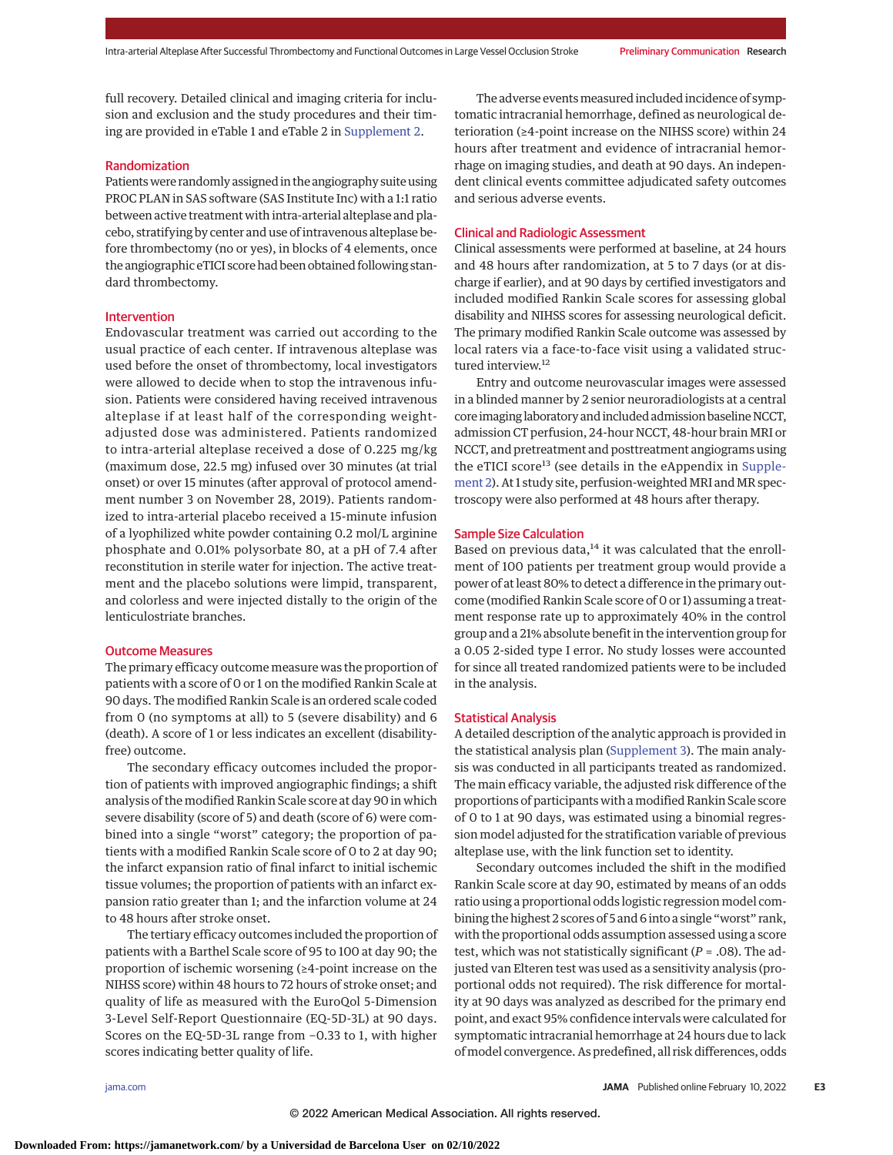full recovery. Detailed clinical and imaging criteria for inclusion and exclusion and the study procedures and their timing are provided in eTable 1 and eTable 2 in [Supplement 2.](https://jamanetwork.com/journals/jama/fullarticle/10.1001/jama.2022.1645?utm_campaign=articlePDF%26utm_medium=articlePDFlink%26utm_source=articlePDF%26utm_content=jama.2022.1645)

# Randomization

Patientswere randomly assigned in the angiography suite using PROC PLAN in SAS software (SAS Institute Inc) with a 1:1 ratio between active treatment with intra-arterial alteplase and placebo, stratifying by center and use of intravenous alteplase before thrombectomy (no or yes), in blocks of 4 elements, once the angiographic eTICI score had been obtained following standard thrombectomy.

## Intervention

Endovascular treatment was carried out according to the usual practice of each center. If intravenous alteplase was used before the onset of thrombectomy, local investigators were allowed to decide when to stop the intravenous infusion. Patients were considered having received intravenous alteplase if at least half of the corresponding weightadjusted dose was administered. Patients randomized to intra-arterial alteplase received a dose of 0.225 mg/kg (maximum dose, 22.5 mg) infused over 30 minutes (at trial onset) or over 15 minutes (after approval of protocol amendment number 3 on November 28, 2019). Patients randomized to intra-arterial placebo received a 15-minute infusion of a lyophilized white powder containing 0.2 mol/L arginine phosphate and 0.01% polysorbate 80, at a pH of 7.4 after reconstitution in sterile water for injection. The active treatment and the placebo solutions were limpid, transparent, and colorless and were injected distally to the origin of the lenticulostriate branches.

#### Outcome Measures

The primary efficacy outcome measure was the proportion of patients with a score of 0 or 1 on the modified Rankin Scale at 90 days. The modified Rankin Scale is an ordered scale coded from 0 (no symptoms at all) to 5 (severe disability) and 6 (death). A score of 1 or less indicates an excellent (disabilityfree) outcome.

The secondary efficacy outcomes included the proportion of patients with improved angiographic findings; a shift analysis of the modified Rankin Scale score at day 90 in which severe disability (score of 5) and death (score of 6) were combined into a single "worst" category; the proportion of patients with a modified Rankin Scale score of 0 to 2 at day 90; the infarct expansion ratio of final infarct to initial ischemic tissue volumes; the proportion of patients with an infarct expansion ratio greater than 1; and the infarction volume at 24 to 48 hours after stroke onset.

The tertiary efficacy outcomes included the proportion of patients with a Barthel Scale score of 95 to 100 at day 90; the proportion of ischemic worsening (≥4-point increase on the NIHSS score) within 48 hours to 72 hours of stroke onset; and quality of life as measured with the EuroQol 5-Dimension 3-Level Self-Report Questionnaire (EQ-5D-3L) at 90 days. Scores on the EQ-5D-3L range from −0.33 to 1, with higher scores indicating better quality of life.

The adverse events measured included incidence of symptomatic intracranial hemorrhage, defined as neurological deterioration (≥4-point increase on the NIHSS score) within 24 hours after treatment and evidence of intracranial hemorrhage on imaging studies, and death at 90 days. An independent clinical events committee adjudicated safety outcomes and serious adverse events.

# Clinical and Radiologic Assessment

Clinical assessments were performed at baseline, at 24 hours and 48 hours after randomization, at 5 to 7 days (or at discharge if earlier), and at 90 days by certified investigators and included modified Rankin Scale scores for assessing global disability and NIHSS scores for assessing neurological deficit. The primary modified Rankin Scale outcome was assessed by local raters via a face-to-face visit using a validated structured interview.<sup>12</sup>

Entry and outcome neurovascular images were assessed in a blinded manner by 2 senior neuroradiologists at a central core imaging laboratory and included admission baseline NCCT, admission CT perfusion, 24-hour NCCT, 48-hour brain MRI or NCCT, and pretreatment and posttreatment angiograms using the eTICI score<sup>13</sup> (see details in the eAppendix in [Supple](https://jamanetwork.com/journals/jama/fullarticle/10.1001/jama.2022.1645?utm_campaign=articlePDF%26utm_medium=articlePDFlink%26utm_source=articlePDF%26utm_content=jama.2022.1645)[ment 2\)](https://jamanetwork.com/journals/jama/fullarticle/10.1001/jama.2022.1645?utm_campaign=articlePDF%26utm_medium=articlePDFlink%26utm_source=articlePDF%26utm_content=jama.2022.1645). At 1 study site, perfusion-weighted MRI and MR spectroscopy were also performed at 48 hours after therapy.

## Sample Size Calculation

Based on previous data, $14$  it was calculated that the enrollment of 100 patients per treatment group would provide a power of at least 80% to detect a difference in the primary outcome (modified Rankin Scale score of 0 or 1) assuming a treatment response rate up to approximately 40% in the control group and a 21% absolute benefit in the intervention group for a 0.05 2-sided type I error. No study losses were accounted for since all treated randomized patients were to be included in the analysis.

#### Statistical Analysis

A detailed description of the analytic approach is provided in the statistical analysis plan [\(Supplement 3\)](https://jamanetwork.com/journals/jama/fullarticle/10.1001/jama.2022.1645?utm_campaign=articlePDF%26utm_medium=articlePDFlink%26utm_source=articlePDF%26utm_content=jama.2022.1645). The main analysis was conducted in all participants treated as randomized. The main efficacy variable, the adjusted risk difference of the proportions of participants with amodified Rankin Scale score of 0 to 1 at 90 days, was estimated using a binomial regression model adjusted for the stratification variable of previous alteplase use, with the link function set to identity.

Secondary outcomes included the shift in the modified Rankin Scale score at day 90, estimated by means of an odds ratio using a proportional odds logistic regression model combining the highest 2 scores of 5 and 6 into a single "worst" rank, with the proportional odds assumption assessed using a score test, which was not statistically significant (*P* = .08). The adjusted van Elteren test was used as a sensitivity analysis (proportional odds not required). The risk difference for mortality at 90 days was analyzed as described for the primary end point, and exact 95% confidence intervals were calculated for symptomatic intracranial hemorrhage at 24 hours due to lack ofmodel convergence. As predefined, all risk differences, odds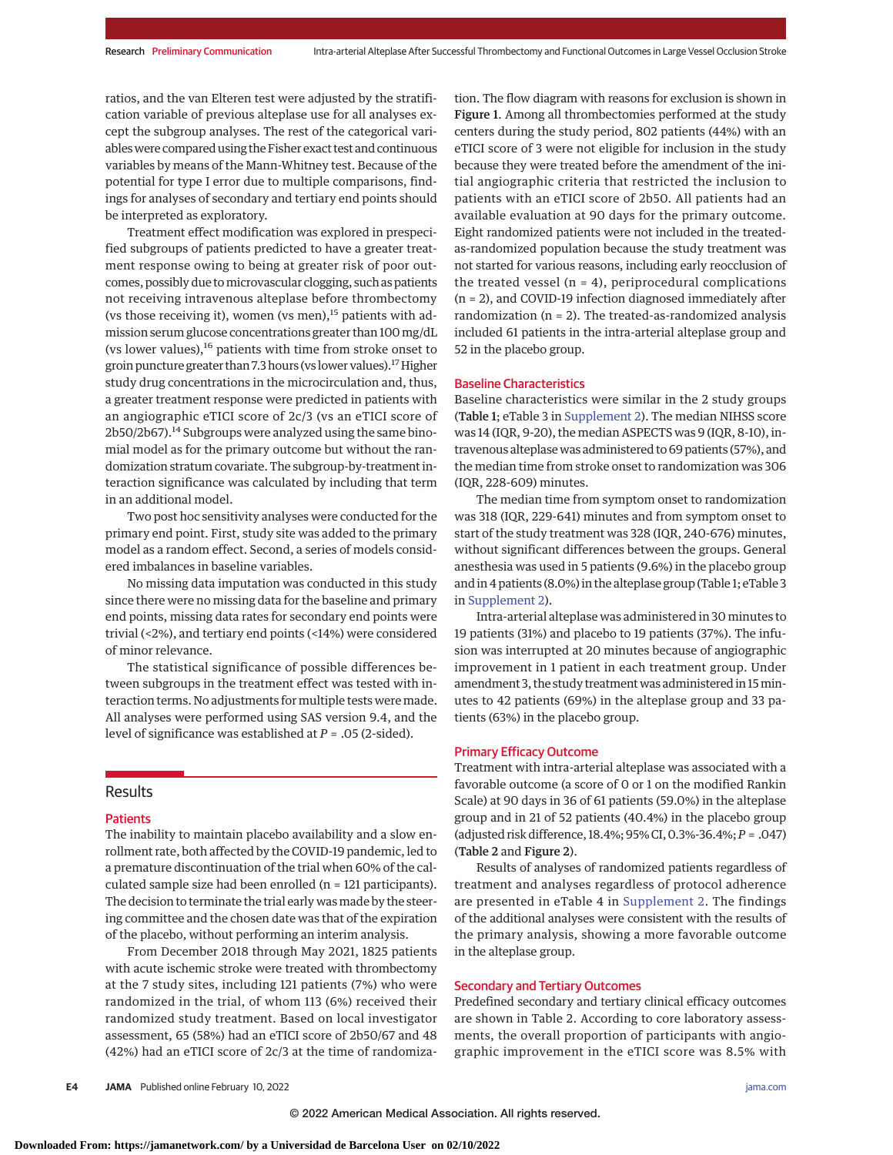ratios, and the van Elteren test were adjusted by the stratification variable of previous alteplase use for all analyses except the subgroup analyses. The rest of the categorical variables were compared using the Fisher exact test and continuous variables by means of the Mann-Whitney test. Because of the potential for type I error due to multiple comparisons, findings for analyses of secondary and tertiary end points should be interpreted as exploratory.

Treatment effect modification was explored in prespecified subgroups of patients predicted to have a greater treatment response owing to being at greater risk of poor outcomes, possibly due tomicrovascular clogging, such as patients not receiving intravenous alteplase before thrombectomy (vs those receiving it), women (vs men),<sup>15</sup> patients with admission serum glucose concentrations greater than 100mg/dL (vs lower values), $^{16}$  patients with time from stroke onset to groin puncture greater than 7.3 hours (vs lower values).<sup>17</sup> Higher study drug concentrations in the microcirculation and, thus, a greater treatment response were predicted in patients with an angiographic eTICI score of 2c/3 (vs an eTICI score of 2b50/2b67).<sup>14</sup> Subgroups were analyzed using the same binomial model as for the primary outcome but without the randomization stratum covariate. The subgroup-by-treatment interaction significance was calculated by including that term in an additional model.

Two post hoc sensitivity analyses were conducted for the primary end point. First, study site was added to the primary model as a random effect. Second, a series of models considered imbalances in baseline variables.

No missing data imputation was conducted in this study since there were no missing data for the baseline and primary end points, missing data rates for secondary end points were trivial (<2%), and tertiary end points (<14%) were considered of minor relevance.

The statistical significance of possible differences between subgroups in the treatment effect was tested with interaction terms. No adjustments for multiple tests were made. All analyses were performed using SAS version 9.4, and the level of significance was established at *P* = .05 (2-sided).

#### **Results**

#### Patients

The inability to maintain placebo availability and a slow enrollment rate, both affected by the COVID-19 pandemic, led to a premature discontinuation of the trial when 60% of the calculated sample size had been enrolled (n = 121 participants). The decision to terminate the trial early was made by the steering committee and the chosen date was that of the expiration of the placebo, without performing an interim analysis.

From December 2018 through May 2021, 1825 patients with acute ischemic stroke were treated with thrombectomy at the 7 study sites, including 121 patients (7%) who were randomized in the trial, of whom 113 (6%) received their randomized study treatment. Based on local investigator assessment, 65 (58%) had an eTICI score of 2b50/67 and 48 (42%) had an eTICI score of 2c/3 at the time of randomization. The flow diagram with reasons for exclusion is shown in Figure 1. Among all thrombectomies performed at the study centers during the study period, 802 patients (44%) with an eTICI score of 3 were not eligible for inclusion in the study because they were treated before the amendment of the initial angiographic criteria that restricted the inclusion to patients with an eTICI score of 2b50. All patients had an available evaluation at 90 days for the primary outcome. Eight randomized patients were not included in the treatedas-randomized population because the study treatment was not started for various reasons, including early reocclusion of the treated vessel ( $n = 4$ ), periprocedural complications (n = 2), and COVID-19 infection diagnosed immediately after randomization  $(n = 2)$ . The treated-as-randomized analysis included 61 patients in the intra-arterial alteplase group and 52 in the placebo group.

#### Baseline Characteristics

Baseline characteristics were similar in the 2 study groups (Table 1; eTable 3 in [Supplement 2\)](https://jamanetwork.com/journals/jama/fullarticle/10.1001/jama.2022.1645?utm_campaign=articlePDF%26utm_medium=articlePDFlink%26utm_source=articlePDF%26utm_content=jama.2022.1645). The median NIHSS score was 14 (IQR, 9-20), the median ASPECTS was 9 (IQR, 8-10), intravenous alteplase was administered to 69 patients (57%), and the median time from stroke onset to randomization was 306 (IQR, 228-609) minutes.

The median time from symptom onset to randomization was 318 (IQR, 229-641) minutes and from symptom onset to start of the study treatment was 328 (IQR, 240-676) minutes, without significant differences between the groups. General anesthesia was used in 5 patients (9.6%) in the placebo group and in 4 patients (8.0%) in the alteplase group (Table 1; eTable 3 in [Supplement 2\)](https://jamanetwork.com/journals/jama/fullarticle/10.1001/jama.2022.1645?utm_campaign=articlePDF%26utm_medium=articlePDFlink%26utm_source=articlePDF%26utm_content=jama.2022.1645).

Intra-arterial alteplase was administered in 30 minutes to 19 patients (31%) and placebo to 19 patients (37%). The infusion was interrupted at 20 minutes because of angiographic improvement in 1 patient in each treatment group. Under amendment 3, the study treatment was administered in 15 minutes to 42 patients (69%) in the alteplase group and 33 patients (63%) in the placebo group.

## Primary Efficacy Outcome

Treatment with intra-arterial alteplase was associated with a favorable outcome (a score of 0 or 1 on the modified Rankin Scale) at 90 days in 36 of 61 patients (59.0%) in the alteplase group and in 21 of 52 patients (40.4%) in the placebo group (adjusted risk difference, 18.4%; 95% CI, 0.3%-36.4%;*P* = .047) (Table 2 and Figure 2).

Results of analyses of randomized patients regardless of treatment and analyses regardless of protocol adherence are presented in eTable 4 in [Supplement 2.](https://jamanetwork.com/journals/jama/fullarticle/10.1001/jama.2022.1645?utm_campaign=articlePDF%26utm_medium=articlePDFlink%26utm_source=articlePDF%26utm_content=jama.2022.1645) The findings of the additional analyses were consistent with the results of the primary analysis, showing a more favorable outcome in the alteplase group.

# Secondary and Tertiary Outcomes

Predefined secondary and tertiary clinical efficacy outcomes are shown in Table 2. According to core laboratory assessments, the overall proportion of participants with angiographic improvement in the eTICI score was 8.5% with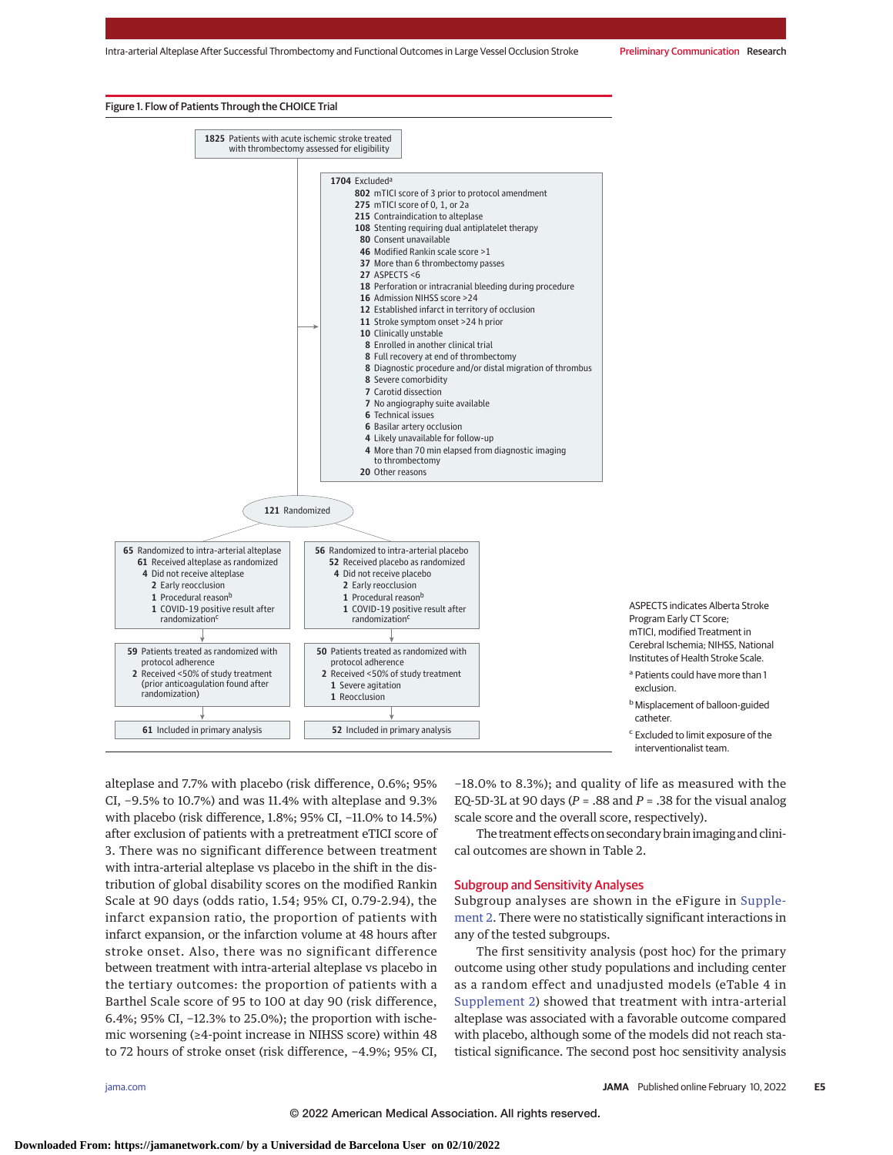#### Figure 1. Flow of Patients Through the CHOICE Trial



alteplase and 7.7% with placebo (risk difference, 0.6%; 95% CI, −9.5% to 10.7%) and was 11.4% with alteplase and 9.3% with placebo (risk difference, 1.8%; 95% CI, −11.0% to 14.5%) after exclusion of patients with a pretreatment eTICI score of 3. There was no significant difference between treatment with intra-arterial alteplase vs placebo in the shift in the distribution of global disability scores on the modified Rankin Scale at 90 days (odds ratio, 1.54; 95% CI, 0.79-2.94), the infarct expansion ratio, the proportion of patients with infarct expansion, or the infarction volume at 48 hours after stroke onset. Also, there was no significant difference between treatment with intra-arterial alteplase vs placebo in the tertiary outcomes: the proportion of patients with a Barthel Scale score of 95 to 100 at day 90 (risk difference, 6.4%; 95% CI, −12.3% to 25.0%); the proportion with ischemic worsening (≥4-point increase in NIHSS score) within 48 to 72 hours of stroke onset (risk difference, −4.9%; 95% CI,

−18.0% to 8.3%); and quality of life as measured with the EQ-5D-3L at 90 days ( $P = .88$  and  $P = .38$  for the visual analog scale score and the overall score, respectively).

The treatment effects on secondary brain imaging and clinical outcomes are shown in Table 2.

#### Subgroup and Sensitivity Analyses

Subgroup analyses are shown in the eFigure in [Supple](https://jamanetwork.com/journals/jama/fullarticle/10.1001/jama.2022.1645?utm_campaign=articlePDF%26utm_medium=articlePDFlink%26utm_source=articlePDF%26utm_content=jama.2022.1645)[ment 2.](https://jamanetwork.com/journals/jama/fullarticle/10.1001/jama.2022.1645?utm_campaign=articlePDF%26utm_medium=articlePDFlink%26utm_source=articlePDF%26utm_content=jama.2022.1645) There were no statistically significant interactions in any of the tested subgroups.

The first sensitivity analysis (post hoc) for the primary outcome using other study populations and including center as a random effect and unadjusted models (eTable 4 in [Supplement 2\)](https://jamanetwork.com/journals/jama/fullarticle/10.1001/jama.2022.1645?utm_campaign=articlePDF%26utm_medium=articlePDFlink%26utm_source=articlePDF%26utm_content=jama.2022.1645) showed that treatment with intra-arterial alteplase was associated with a favorable outcome compared with placebo, although some of the models did not reach statistical significance. The second post hoc sensitivity analysis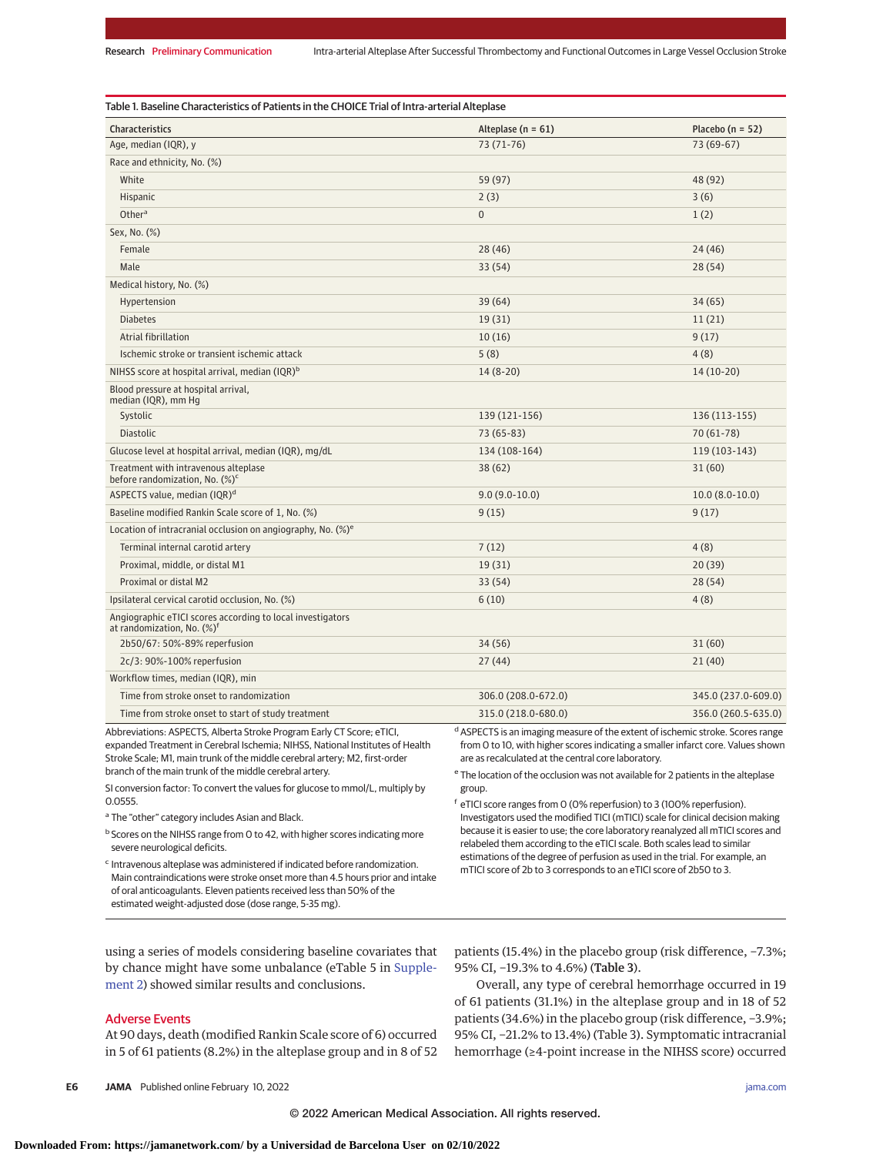| <b>Characteristics</b>                                                                               | Alteplase ( $n = 61$ ) | Placebo ( $n = 52$ ) |
|------------------------------------------------------------------------------------------------------|------------------------|----------------------|
| Age, median (IQR), y                                                                                 | 73 (71-76)             | 73 (69-67)           |
| Race and ethnicity, No. (%)                                                                          |                        |                      |
| White                                                                                                | 59 (97)                | 48 (92)              |
| Hispanic                                                                                             | 2(3)                   | 3(6)                 |
| Other <sup>a</sup>                                                                                   | $\Omega$               | 1(2)                 |
| Sex, No. (%)                                                                                         |                        |                      |
| Female                                                                                               | 28(46)                 | 24 (46)              |
| Male                                                                                                 | 33(54)                 | 28(54)               |
| Medical history, No. (%)                                                                             |                        |                      |
| Hypertension                                                                                         | 39(64)                 | 34(65)               |
| <b>Diabetes</b>                                                                                      | 19(31)                 | 11(21)               |
| Atrial fibrillation                                                                                  | 10(16)                 | 9(17)                |
| Ischemic stroke or transient ischemic attack                                                         | 5(8)                   | 4(8)                 |
| NIHSS score at hospital arrival, median (IQR) <sup>b</sup>                                           | $14(8-20)$             | $14(10-20)$          |
| Blood pressure at hospital arrival,<br>median (IQR), mm Hg                                           |                        |                      |
| Systolic                                                                                             | 139 (121-156)          | 136 (113-155)        |
| <b>Diastolic</b>                                                                                     | 73 (65-83)             | 70 (61-78)           |
| Glucose level at hospital arrival, median (IQR), mg/dL                                               | 134 (108-164)          | 119 (103-143)        |
| Treatment with intravenous alteplase<br>before randomization, No. (%) <sup>c</sup>                   | 38(62)                 | 31(60)               |
| ASPECTS value, median (IQR) <sup>d</sup>                                                             | $9.0(9.0-10.0)$        | $10.0(8.0-10.0)$     |
| Baseline modified Rankin Scale score of 1, No. (%)                                                   | 9(15)                  | 9(17)                |
| Location of intracranial occlusion on angiography, No. $(\%)^e$                                      |                        |                      |
| Terminal internal carotid artery                                                                     | 7(12)                  | 4(8)                 |
| Proximal, middle, or distal M1                                                                       | 19(31)                 | 20(39)               |
| Proximal or distal M2                                                                                | 33(54)                 | 28(54)               |
| Ipsilateral cervical carotid occlusion, No. (%)                                                      | 6(10)                  | 4(8)                 |
| Angiographic eTICI scores according to local investigators<br>at randomization, No. (%) <sup>f</sup> |                        |                      |
| 2b50/67: 50%-89% reperfusion                                                                         | 34 (56)                | 31(60)               |
| 2c/3: 90%-100% reperfusion                                                                           | 27(44)                 | 21(40)               |
| Workflow times, median (IQR), min                                                                    |                        |                      |
| Time from stroke onset to randomization                                                              | 306.0 (208.0-672.0)    | 345.0 (237.0-609.0)  |
| Time from stroke onset to start of study treatment                                                   | 315.0 (218.0-680.0)    | 356.0 (260.5-635.0)  |

Abbreviations: ASPECTS, Alberta Stroke Program Early CT Score; eTICI, expanded Treatment in Cerebral Ischemia; NIHSS, National Institutes of Health Stroke Scale; M1, main trunk of the middle cerebral artery; M2, first-order branch of the main trunk of the middle cerebral artery.

SI conversion factor: To convert the values for glucose to mmol/L, multiply by 0.0555.

a The "other" category includes Asian and Black.

b Scores on the NIHSS range from 0 to 42, with higher scores indicating more severe neurological deficits.

<sup>c</sup> Intravenous alteplase was administered if indicated before randomization. Main contraindications were stroke onset more than 4.5 hours prior and intake of oral anticoagulants. Eleven patients received less than 50% of the estimated weight-adjusted dose (dose range, 5-35 mg).

dASPECTS is an imaging measure of the extent of ischemic stroke. Scores range from 0 to 10, with higher scores indicating a smaller infarct core. Values shown are as recalculated at the central core laboratory.

<sup>e</sup> The location of the occlusion was not available for 2 patients in the alteplase group.

<sup>f</sup> eTICI score ranges from 0 (0% reperfusion) to 3 (100% reperfusion). Investigators used the modified TICI (mTICI) scale for clinical decision making because it is easier to use; the core laboratory reanalyzed all mTICI scores and relabeled them according to the eTICI scale. Both scales lead to similar estimations of the degree of perfusion as used in the trial. For example, an mTICI score of 2b to 3 corresponds to an eTICI score of 2b50 to 3.

using a series of models considering baseline covariates that by chance might have some unbalance (eTable 5 in [Supple](https://jamanetwork.com/journals/jama/fullarticle/10.1001/jama.2022.1645?utm_campaign=articlePDF%26utm_medium=articlePDFlink%26utm_source=articlePDF%26utm_content=jama.2022.1645)[ment 2\)](https://jamanetwork.com/journals/jama/fullarticle/10.1001/jama.2022.1645?utm_campaign=articlePDF%26utm_medium=articlePDFlink%26utm_source=articlePDF%26utm_content=jama.2022.1645) showed similar results and conclusions.

#### Adverse Events

At 90 days, death (modified Rankin Scale score of 6) occurred in 5 of 61 patients (8.2%) in the alteplase group and in 8 of 52 patients (15.4%) in the placebo group (risk difference, −7.3%; 95% CI, -19.3% to 4.6%) (Table 3).

Overall, any type of cerebral hemorrhage occurred in 19 of 61 patients (31.1%) in the alteplase group and in 18 of 52 patients (34.6%) in the placebo group (risk difference, −3.9%; 95% CI, −21.2% to 13.4%) (Table 3). Symptomatic intracranial hemorrhage (≥4-point increase in the NIHSS score) occurred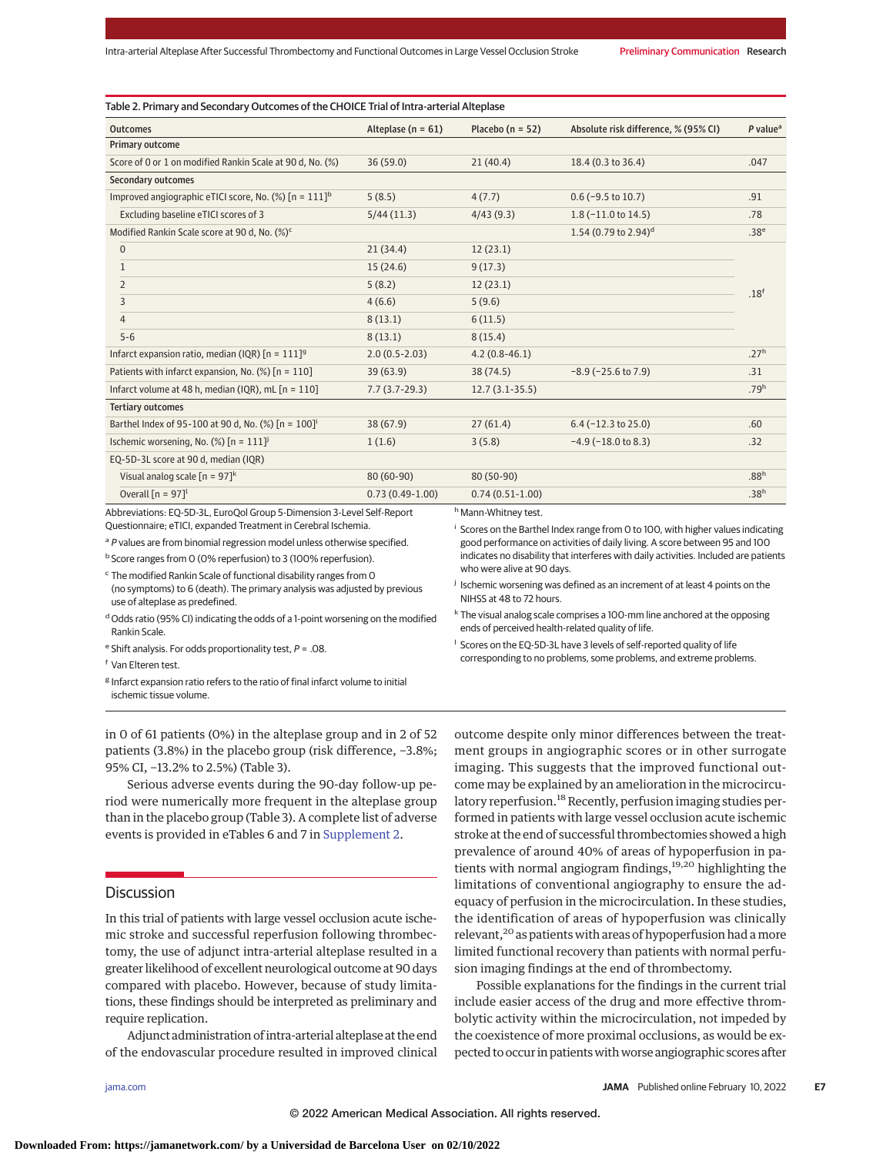| <b>Outcomes</b>                                                 | Alteplase ( $n = 61$ ) | Placebo ( $n = 52$ ) | Absolute risk difference, % (95% CI) | $P$ value <sup>a</sup> |
|-----------------------------------------------------------------|------------------------|----------------------|--------------------------------------|------------------------|
| Primary outcome                                                 |                        |                      |                                      |                        |
| Score of 0 or 1 on modified Rankin Scale at 90 d, No. (%)       | 36(59.0)               | 21(40.4)             | 18.4 (0.3 to 36.4)                   | .047                   |
| Secondary outcomes                                              |                        |                      |                                      |                        |
| Improved angiographic eTICI score, No. (%) $[n = 111]^{b}$      | 5(8.5)                 | 4(7.7)               | $0.6$ (-9.5 to 10.7)                 | .91                    |
| Excluding baseline eTICI scores of 3                            | 5/44(11.3)             | 4/43(9.3)            | $1.8(-11.0 \text{ to } 14.5)$        | .78                    |
| Modified Rankin Scale score at 90 d, No. (%) <sup>c</sup>       |                        |                      | 1.54 (0.79 to 2.94) <sup>d</sup>     | .38 <sup>e</sup>       |
| 0                                                               | 21(34.4)               | 12(23.1)             |                                      |                        |
| $\mathbf{1}$                                                    | 15(24.6)               | 9(17.3)              |                                      | .18 <sup>f</sup>       |
| $\overline{2}$                                                  | 5(8.2)                 | 12(23.1)             |                                      |                        |
| 3                                                               | 4(6.6)                 | 5(9.6)               |                                      |                        |
| $\overline{4}$                                                  | 8(13.1)                | 6(11.5)              |                                      |                        |
| $5 - 6$                                                         | 8(13.1)                | 8(15.4)              |                                      |                        |
| Infarct expansion ratio, median (IQR) $[n = 111]$ <sup>9</sup>  | $2.0(0.5-2.03)$        | $4.2(0.8-46.1)$      |                                      | .27 <sup>h</sup>       |
| Patients with infarct expansion, No. (%) [n = 110]              | 39(63.9)               | 38 (74.5)            | $-8.9$ ( $-25.6$ to 7.9)             | .31                    |
| Infarct volume at 48 h, median (IQR), mL [n = 110]              | $7.7(3.7-29.3)$        | $12.7(3.1-35.5)$     |                                      | .79 <sup>h</sup>       |
| <b>Tertiary outcomes</b>                                        |                        |                      |                                      |                        |
| Barthel Index of 95-100 at 90 d, No. (%) [n = 100] <sup>i</sup> | 38(67.9)               | 27(61.4)             | $6.4$ (-12.3 to 25.0)                | .60                    |
| Ischemic worsening, No. (%) $[n = 111]$ <sup>j</sup>            | 1(1.6)                 | 3(5.8)               | $-4.9$ ( $-18.0$ to 8.3)             | .32                    |
| EQ-5D-3L score at 90 d, median (IQR)                            |                        |                      |                                      |                        |
| Visual analog scale $[n = 97]^{k}$                              | $80(60-90)$            | 80 (50-90)           |                                      | .88 <sup>h</sup>       |
| Overall $[n = 97]$ <sup>l</sup>                                 | $0.73(0.49-1.00)$      | $0.74(0.51-1.00)$    |                                      | .38 <sup>h</sup>       |

Abbreviations: EQ-5D-3L, EuroQol Group 5-Dimension 3-Level Self-Report Questionnaire; eTICI, expanded Treatment in Cerebral Ischemia.

<sup>a</sup> P values are from binomial regression model unless otherwise specified.

<sup>b</sup> Score ranges from 0 (0% reperfusion) to 3 (100% reperfusion).

<sup>c</sup> The modified Rankin Scale of functional disability ranges from 0 (no symptoms) to 6 (death). The primary analysis was adjusted by previous

use of alteplase as predefined. d Odds ratio (95% CI) indicating the odds of a 1-point worsening on the modified

Rankin Scale.

e Shift analysis. For odds proportionality test,  $P = .08$ .

<sup>f</sup> Van Elteren test.

<sup>g</sup> Infarct expansion ratio refers to the ratio of final infarct volume to initial ischemic tissue volume.

in 0 of 61 patients (0%) in the alteplase group and in 2 of 52 patients (3.8%) in the placebo group (risk difference, −3.8%; 95% CI, −13.2% to 2.5%) (Table 3).

Serious adverse events during the 90-day follow-up period were numerically more frequent in the alteplase group than in the placebo group (Table 3). A complete list of adverse events is provided in eTables 6 and 7 in [Supplement 2.](https://jamanetwork.com/journals/jama/fullarticle/10.1001/jama.2022.1645?utm_campaign=articlePDF%26utm_medium=articlePDFlink%26utm_source=articlePDF%26utm_content=jama.2022.1645)

# **Discussion**

In this trial of patients with large vessel occlusion acute ischemic stroke and successful reperfusion following thrombectomy, the use of adjunct intra-arterial alteplase resulted in a greater likelihood of excellent neurological outcome at 90 days compared with placebo. However, because of study limitations, these findings should be interpreted as preliminary and require replication.

Adjunct administration of intra-arterial alteplase at the end of the endovascular procedure resulted in improved clinical outcome despite only minor differences between the treatment groups in angiographic scores or in other surrogate imaging. This suggests that the improved functional outcome may be explained by an amelioration in the microcirculatory reperfusion.<sup>18</sup> Recently, perfusion imaging studies performed in patients with large vessel occlusion acute ischemic stroke at the end of successful thrombectomies showed a high prevalence of around 40% of areas of hypoperfusion in patients with normal angiogram findings,<sup>19,20</sup> highlighting the limitations of conventional angiography to ensure the adequacy of perfusion in the microcirculation. In these studies, the identification of areas of hypoperfusion was clinically relevant,20 as patients with areas of hypoperfusion had a more limited functional recovery than patients with normal perfusion imaging findings at the end of thrombectomy.

<sup>i</sup> Scores on the Barthel Index range from 0 to 100, with higher values indicating good performance on activities of daily living. A score between 95 and 100 indicates no disability that interferes with daily activities. Included are patients

<sup>j</sup> Ischemic worsening was defined as an increment of at least 4 points on the

<sup>k</sup> The visual analog scale comprises a 100-mm line anchored at the opposing

<sup>l</sup> Scores on the EQ-5D-3L have 3 levels of self-reported quality of life corresponding to no problems, some problems, and extreme problems.

who were alive at 90 days.

NIHSS at 48 to 72 hours.

ends of perceived health-related quality of life.

Possible explanations for the findings in the current trial include easier access of the drug and more effective thrombolytic activity within the microcirculation, not impeded by the coexistence of more proximal occlusions, as would be expected to occur in patients with worse angiographic scores after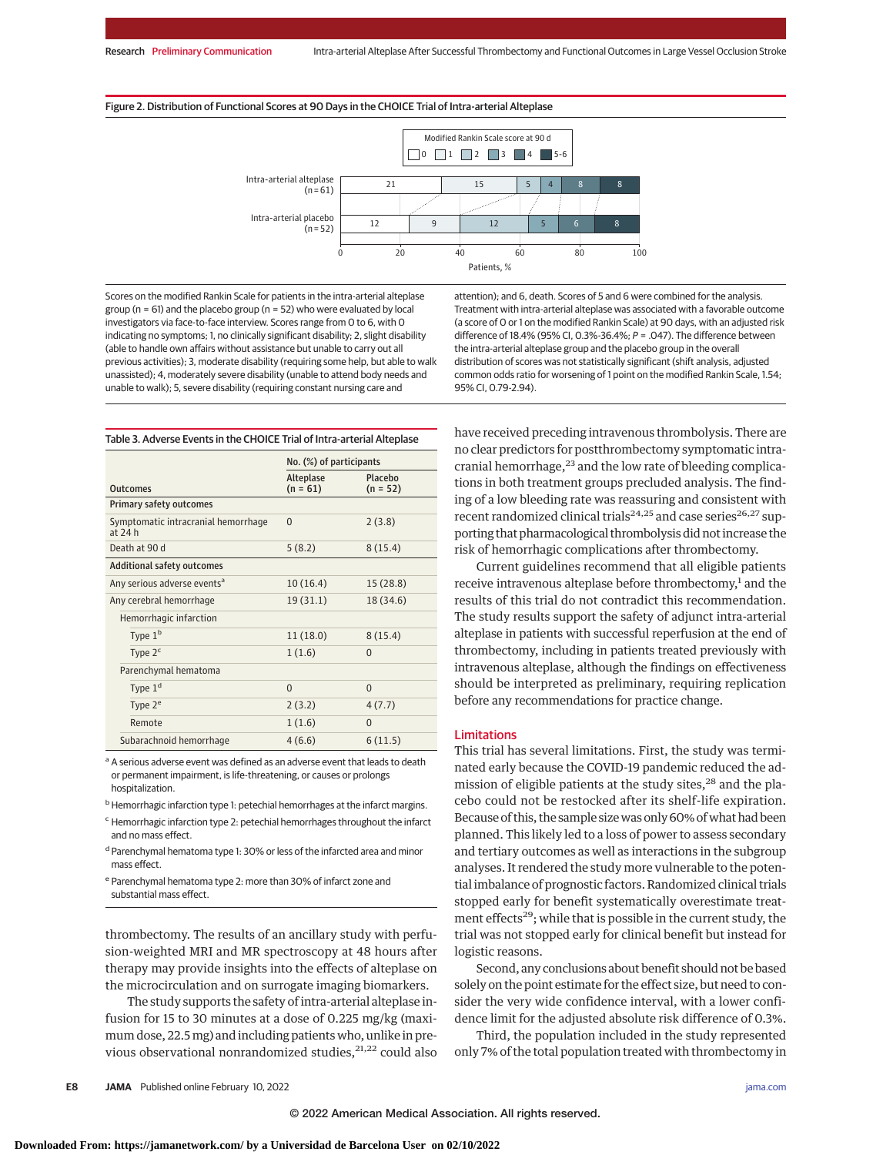



Scores on the modified Rankin Scale for patients in the intra-arterial alteplase group ( $n = 61$ ) and the placebo group ( $n = 52$ ) who were evaluated by local investigators via face-to-face interview. Scores range from 0 to 6, with 0 indicating no symptoms; 1, no clinically significant disability; 2, slight disability (able to handle own affairs without assistance but unable to carry out all previous activities); 3, moderate disability (requiring some help, but able to walk unassisted); 4, moderately severe disability (unable to attend body needs and unable to walk); 5, severe disability (requiring constant nursing care and

attention); and 6, death. Scores of 5 and 6 were combined for the analysis. Treatment with intra-arterial alteplase was associated with a favorable outcome (a score of 0 or 1 on the modified Rankin Scale) at 90 days, with an adjusted risk difference of 18.4% (95% CI, 0.3%-36.4%;  $P = .047$ ). The difference between the intra-arterial alteplase group and the placebo group in the overall distribution of scores was not statistically significant (shift analysis, adjusted common odds ratio for worsening of 1 point on the modified Rankin Scale, 1.54; 95% CI, 0.79-2.94).

Table 3. Adverse Events in the CHOICE Trial of Intra-arterial Alteplase

|                                                | No. (%) of participants |                       |
|------------------------------------------------|-------------------------|-----------------------|
| <b>Outcomes</b>                                | Alteplase<br>$(n = 61)$ | Placebo<br>$(n = 52)$ |
| <b>Primary safety outcomes</b>                 |                         |                       |
| Symptomatic intracranial hemorrhage<br>at 24 h | $\Omega$                | 2(3.8)                |
| Death at 90 d                                  | 5(8.2)                  | 8(15.4)               |
| <b>Additional safety outcomes</b>              |                         |                       |
| Any serious adverse events <sup>a</sup>        | 10 (16.4)               | 15 (28.8)             |
| Any cerebral hemorrhage                        | 19 (31.1)               | 18 (34.6)             |
| Hemorrhagic infarction                         |                         |                       |
| Type $1b$                                      | 11 (18.0)               | 8(15.4)               |
| Type $2c$                                      | 1(1.6)                  | $\Omega$              |
| Parenchymal hematoma                           |                         |                       |
| Type $1d$                                      | $\Omega$                | $\Omega$              |
| Type $2^e$                                     | 2(3.2)                  | 4(7.7)                |
| Remote                                         | 1(1.6)                  | $\Omega$              |
| Subarachnoid hemorrhage                        | 4(6.6)                  | 6(11.5)               |

<sup>a</sup> A serious adverse event was defined as an adverse event that leads to death or permanent impairment, is life-threatening, or causes or prolongs hospitalization.

<sup>b</sup> Hemorrhagic infarction type 1: petechial hemorrhages at the infarct margins.

 $c$  Hemorrhagic infarction type 2: petechial hemorrhages throughout the infarct and no mass effect.

<sup>d</sup> Parenchymal hematoma type 1: 30% or less of the infarcted area and minor mass effect.

<sup>e</sup> Parenchymal hematoma type 2: more than 30% of infarct zone and substantial mass effect.

thrombectomy. The results of an ancillary study with perfusion-weighted MRI and MR spectroscopy at 48 hours after therapy may provide insights into the effects of alteplase on the microcirculation and on surrogate imaging biomarkers.

The study supports the safety of intra-arterial alteplase infusion for 15 to 30 minutes at a dose of 0.225 mg/kg (maximum dose, 22.5mg) and including patients who, unlike in previous observational nonrandomized studies,<sup>21,22</sup> could also have received preceding intravenous thrombolysis. There are no clear predictors for postthrombectomy symptomatic intracranial hemorrhage, $23$  and the low rate of bleeding complications in both treatment groups precluded analysis. The finding of a low bleeding rate was reassuring and consistent with recent randomized clinical trials<sup>24,25</sup> and case series<sup>26,27</sup> supporting that pharmacological thrombolysis did not increase the risk of hemorrhagic complications after thrombectomy.

Current guidelines recommend that all eligible patients receive intravenous alteplase before thrombectomy,<sup>1</sup> and the results of this trial do not contradict this recommendation. The study results support the safety of adjunct intra-arterial alteplase in patients with successful reperfusion at the end of thrombectomy, including in patients treated previously with intravenous alteplase, although the findings on effectiveness should be interpreted as preliminary, requiring replication before any recommendations for practice change.

#### Limitations

This trial has several limitations. First, the study was terminated early because the COVID-19 pandemic reduced the admission of eligible patients at the study sites,<sup>28</sup> and the placebo could not be restocked after its shelf-life expiration. Because of this, the sample size was only 60% of what had been planned. This likely led to a loss of power to assess secondary and tertiary outcomes as well as interactions in the subgroup analyses. It rendered the study more vulnerable to the potential imbalance of prognostic factors. Randomized clinical trials stopped early for benefit systematically overestimate treatment effects<sup>29</sup>; while that is possible in the current study, the trial was not stopped early for clinical benefit but instead for logistic reasons.

Second, any conclusions about benefit should not be based solely on the point estimate for the effect size, but need to consider the very wide confidence interval, with a lower confidence limit for the adjusted absolute risk difference of 0.3%.

Third, the population included in the study represented only 7% of the total population treated with thrombectomy in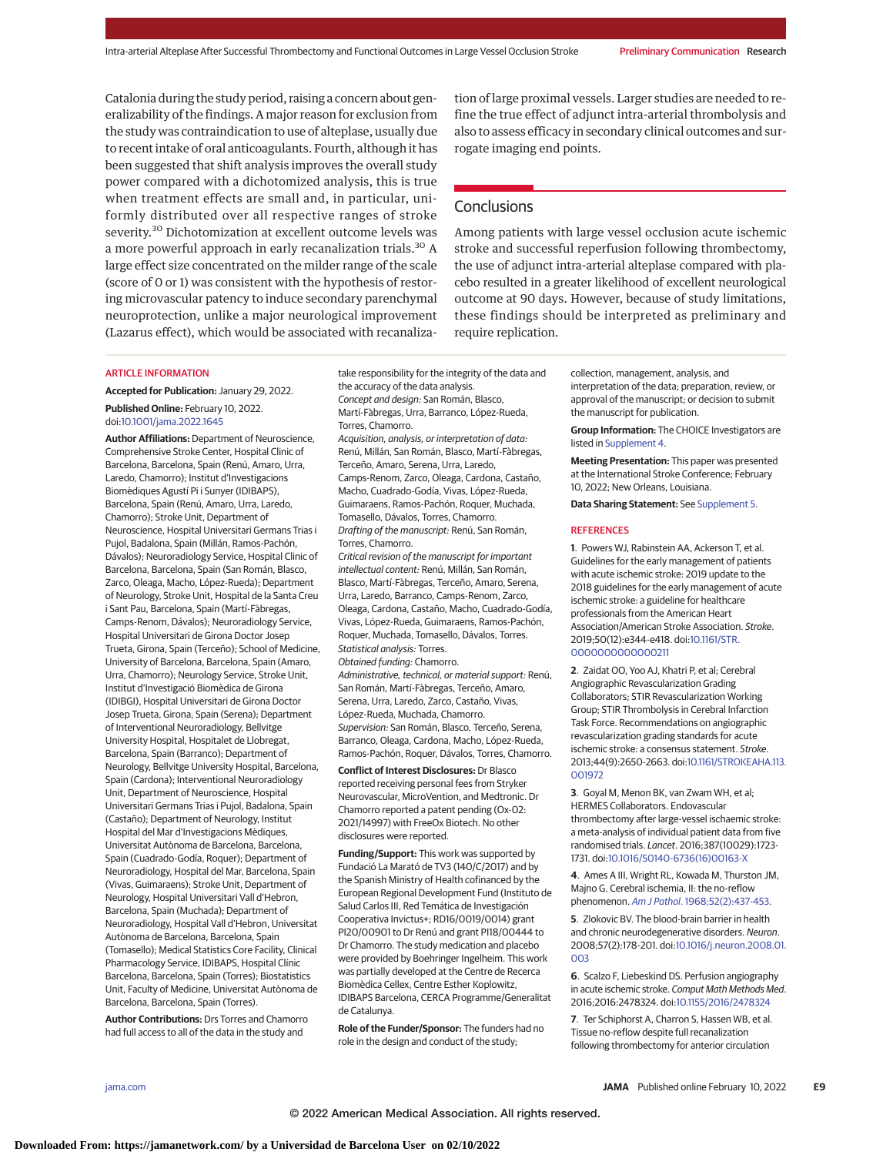Catalonia during the study period, raising a concern about generalizability of the findings. A major reason for exclusion from the study was contraindication to use of alteplase, usually due to recent intake of oral anticoagulants. Fourth, although it has been suggested that shift analysis improves the overall study power compared with a dichotomized analysis, this is true when treatment effects are small and, in particular, uniformly distributed over all respective ranges of stroke severity.30 Dichotomization at excellent outcome levels was a more powerful approach in early recanalization trials.<sup>30</sup> A large effect size concentrated on the milder range of the scale (score of 0 or 1) was consistent with the hypothesis of restoring microvascular patency to induce secondary parenchymal neuroprotection, unlike a major neurological improvement (Lazarus effect), which would be associated with recanalization of large proximal vessels. Larger studies are needed to refine the true effect of adjunct intra-arterial thrombolysis and also to assess efficacy in secondary clinical outcomes and surrogate imaging end points.

# **Conclusions**

Among patients with large vessel occlusion acute ischemic stroke and successful reperfusion following thrombectomy, the use of adjunct intra-arterial alteplase compared with placebo resulted in a greater likelihood of excellent neurological outcome at 90 days. However, because of study limitations, these findings should be interpreted as preliminary and require replication.

#### ARTICLE INFORMATION

**Accepted for Publication:** January 29, 2022. **Published Online:** February 10, 2022. doi[:10.1001/jama.2022.1645](https://jamanetwork.com/journals/jama/fullarticle/10.1001/jama.2022.1645?utm_campaign=articlePDF%26utm_medium=articlePDFlink%26utm_source=articlePDF%26utm_content=jama.2022.1645)

**Author Affiliations:** Department of Neuroscience, Comprehensive Stroke Center, Hospital Clinic of Barcelona, Barcelona, Spain (Renú, Amaro, Urra, Laredo, Chamorro); Institut d'Investigacions Biomèdiques Agustí Pi i Sunyer (IDIBAPS), Barcelona, Spain (Renú, Amaro, Urra, Laredo, Chamorro); Stroke Unit, Department of Neuroscience, Hospital Universitari Germans Trias i Pujol, Badalona, Spain (Millán, Ramos-Pachón, Dávalos); Neuroradiology Service, Hospital Clinic of Barcelona, Barcelona, Spain (San Román, Blasco, Zarco, Oleaga, Macho, López-Rueda); Department of Neurology, Stroke Unit, Hospital de la Santa Creu i Sant Pau, Barcelona, Spain (Martí-Fàbregas, Camps-Renom, Dávalos); Neuroradiology Service, Hospital Universitari de Girona Doctor Josep Trueta, Girona, Spain (Terceño); School of Medicine, University of Barcelona, Barcelona, Spain (Amaro, Urra, Chamorro); Neurology Service, Stroke Unit, Institut d'Investigació Biomèdica de Girona (IDIBGI), Hospital Universitari de Girona Doctor Josep Trueta, Girona, Spain (Serena); Department of Interventional Neuroradiology, Bellvitge University Hospital, Hospitalet de Llobregat, Barcelona, Spain (Barranco); Department of Neurology, Bellvitge University Hospital, Barcelona, Spain (Cardona); Interventional Neuroradiology Unit, Department of Neuroscience, Hospital Universitari Germans Trias i Pujol, Badalona, Spain (Castaño); Department of Neurology, Institut Hospital del Mar d'Investigacions Mèdiques, Universitat Autònoma de Barcelona, Barcelona, Spain (Cuadrado-Godía, Roquer); Department of Neuroradiology, Hospital del Mar, Barcelona, Spain (Vivas, Guimaraens); Stroke Unit, Department of Neurology, Hospital Universitari Vall d'Hebron, Barcelona, Spain (Muchada); Department of Neuroradiology, Hospital Vall d'Hebron, Universitat Autònoma de Barcelona, Barcelona, Spain (Tomasello); Medical Statistics Core Facility, Clinical Pharmacology Service, IDIBAPS, Hospital Clínic Barcelona, Barcelona, Spain (Torres); Biostatistics Unit, Faculty of Medicine, Universitat Autònoma de Barcelona, Barcelona, Spain (Torres).

**Author Contributions:** Drs Torres and Chamorro had full access to all of the data in the study and

the accuracy of the data analysis. Concept and design: San Román, Blasco, Martí-Fàbregas, Urra, Barranco, López-Rueda, Torres, Chamorro. Acquisition, analysis, or interpretation of data: Renú, Millán, San Román, Blasco, Martí-Fàbregas, Terceño, Amaro, Serena, Urra, Laredo, Camps-Renom, Zarco, Oleaga, Cardona, Castaño, Macho, Cuadrado-Godía, Vivas, López-Rueda, Guimaraens, Ramos-Pachón, Roquer, Muchada, Tomasello, Dávalos, Torres, Chamorro. Drafting of the manuscript: Renú, San Román, Torres, Chamorro. Critical revision of the manuscript for important intellectual content: Renú, Millán, San Román, Blasco, Martí-Fàbregas, Terceño, Amaro, Serena, Urra, Laredo, Barranco, Camps-Renom, Zarco, Oleaga, Cardona, Castaño, Macho, Cuadrado-Godía, Vivas, López-Rueda, Guimaraens, Ramos-Pachón, Roquer, Muchada, Tomasello, Dávalos, Torres.

take responsibility for the integrity of the data and

Statistical analysis: Torres.

Obtained funding: Chamorro. Administrative, technical, or material support: Renú, San Román, Martí-Fàbregas, Terceño, Amaro, Serena, Urra, Laredo, Zarco, Castaño, Vivas, López-Rueda, Muchada, Chamorro. Supervision: San Román, Blasco, Terceño, Serena, Barranco, Oleaga, Cardona, Macho, López-Rueda, Ramos-Pachón, Roquer, Dávalos, Torres, Chamorro.

**Conflict of Interest Disclosures:** Dr Blasco reported receiving personal fees from Stryker Neurovascular, MicroVention, and Medtronic. Dr Chamorro reported a patent pending (Ox-02: 2021/14997) with FreeOx Biotech. No other disclosures were reported.

**Funding/Support:** This work was supported by Fundació La Marató de TV3 (140/C/2017) and by the Spanish Ministry of Health cofinanced by the European Regional Development Fund (Instituto de Salud Carlos III, Red Temática de Investigación Cooperativa Invictus+; RD16/0019/0014) grant PI20/00901 to Dr Renú and grant PI18/00444 to Dr Chamorro. The study medication and placebo were provided by Boehringer Ingelheim. This work was partially developed at the Centre de Recerca Biomèdica Cellex, Centre Esther Koplowitz, IDIBAPS Barcelona, CERCA Programme/Generalitat de Catalunya.

**Role of the Funder/Sponsor:** The funders had no role in the design and conduct of the study;

collection, management, analysis, and interpretation of the data; preparation, review, or approval of the manuscript; or decision to submit the manuscript for publication.

**Group Information:** The CHOICE Investigators are listed in [Supplement 4.](https://jamanetwork.com/journals/jama/fullarticle/10.1001/jama.2022.1645?utm_campaign=articlePDF%26utm_medium=articlePDFlink%26utm_source=articlePDF%26utm_content=jama.2022.1645)

**Meeting Presentation:** This paper was presented at the International Stroke Conference; February 10, 2022; New Orleans, Louisiana.

**Data Sharing Statement:** See [Supplement 5.](https://jamanetwork.com/journals/jama/fullarticle/10.1001/jama.2022.1645?utm_campaign=articlePDF%26utm_medium=articlePDFlink%26utm_source=articlePDF%26utm_content=jama.2022.1645)

#### **REFERENCES**

**1**. Powers WJ, Rabinstein AA, Ackerson T, et al. Guidelines for the early management of patients with acute ischemic stroke: 2019 update to the 2018 guidelines for the early management of acute ischemic stroke: a guideline for healthcare professionals from the American Heart Association/American Stroke Association. Stroke. 2019;50(12):e344-e418. doi[:10.1161/STR.](https://dx.doi.org/10.1161/STR.0000000000000211) [0000000000000211](https://dx.doi.org/10.1161/STR.0000000000000211)

**2**. Zaidat OO, Yoo AJ, Khatri P, et al; Cerebral Angiographic Revascularization Grading Collaborators; STIR Revascularization Working Group; STIR Thrombolysis in Cerebral Infarction Task Force. Recommendations on angiographic revascularization grading standards for acute ischemic stroke: a consensus statement. Stroke. 2013;44(9):2650-2663. doi[:10.1161/STROKEAHA.113.](https://dx.doi.org/10.1161/STROKEAHA.113.001972) [001972](https://dx.doi.org/10.1161/STROKEAHA.113.001972)

**3**. Goyal M, Menon BK, van Zwam WH, et al; HERMES Collaborators. Endovascular thrombectomy after large-vessel ischaemic stroke: a meta-analysis of individual patient data from five randomised trials. Lancet. 2016;387(10029):1723- 1731. doi[:10.1016/S0140-6736\(16\)00163-X](https://dx.doi.org/10.1016/S0140-6736(16)00163-X)

**4**. Ames A III, Wright RL, Kowada M, Thurston JM, Majno G. Cerebral ischemia, II: the no-reflow phenomenon. Am J Pathol[. 1968;52\(2\):437-453.](https://www.ncbi.nlm.nih.gov/pubmed/5635861)

**5**. Zlokovic BV. The blood-brain barrier in health and chronic neurodegenerative disorders. Neuron. 2008;57(2):178-201. doi[:10.1016/j.neuron.2008.01.](https://dx.doi.org/10.1016/j.neuron.2008.01.003) [003](https://dx.doi.org/10.1016/j.neuron.2008.01.003)

**6**. Scalzo F, Liebeskind DS. Perfusion angiography in acute ischemic stroke. Comput Math Methods Med. 2016;2016:2478324. doi[:10.1155/2016/2478324](https://dx.doi.org/10.1155/2016/2478324)

**7**. Ter Schiphorst A, Charron S, Hassen WB, et al. Tissue no-reflow despite full recanalization following thrombectomy for anterior circulation